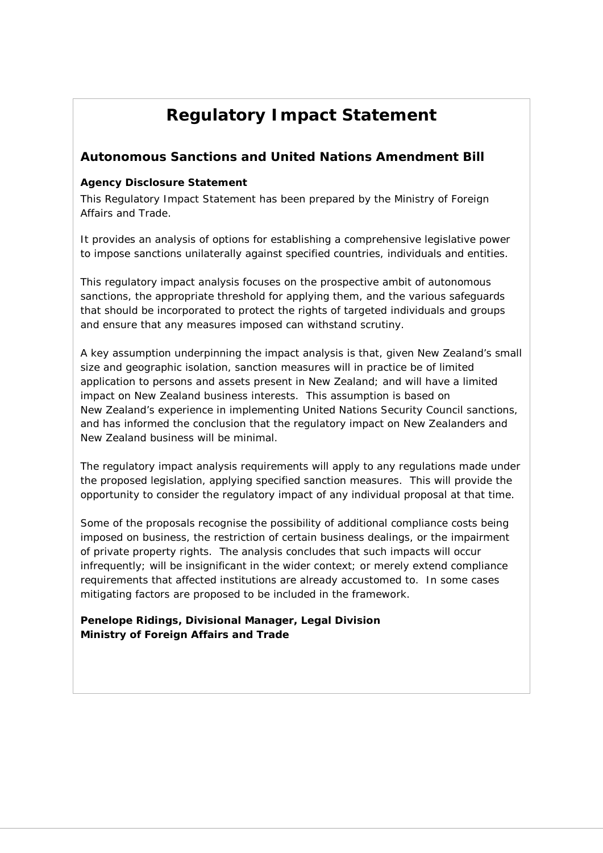# **Regulatory Impact Statement**

### **Autonomous Sanctions and United Nations Amendment Bill**

#### **Agency Disclosure Statement**

This Regulatory Impact Statement has been prepared by the Ministry of Foreign Affairs and Trade.

It provides an analysis of options for establishing a comprehensive legislative power to impose sanctions unilaterally against specified countries, individuals and entities.

This regulatory impact analysis focuses on the prospective ambit of autonomous sanctions, the appropriate threshold for applying them, and the various safeguards that should be incorporated to protect the rights of targeted individuals and groups and ensure that any measures imposed can withstand scrutiny.

A key assumption underpinning the impact analysis is that, given New Zealand's small size and geographic isolation, sanction measures will in practice be of limited application to persons and assets present in New Zealand; and will have a limited impact on New Zealand business interests. This assumption is based on New Zealand's experience in implementing United Nations Security Council sanctions, and has informed the conclusion that the regulatory impact on New Zealanders and New Zealand business will be minimal.

The regulatory impact analysis requirements will apply to any regulations made under the proposed legislation, applying specified sanction measures. This will provide the opportunity to consider the regulatory impact of any individual proposal at that time.

Some of the proposals recognise the possibility of additional compliance costs being imposed on business, the restriction of certain business dealings, or the impairment of private property rights. The analysis concludes that such impacts will occur infrequently; will be insignificant in the wider context; or merely extend compliance requirements that affected institutions are already accustomed to. In some cases mitigating factors are proposed to be included in the framework.

**Penelope Ridings, Divisional Manager, Legal Division Ministry of Foreign Affairs and Trade**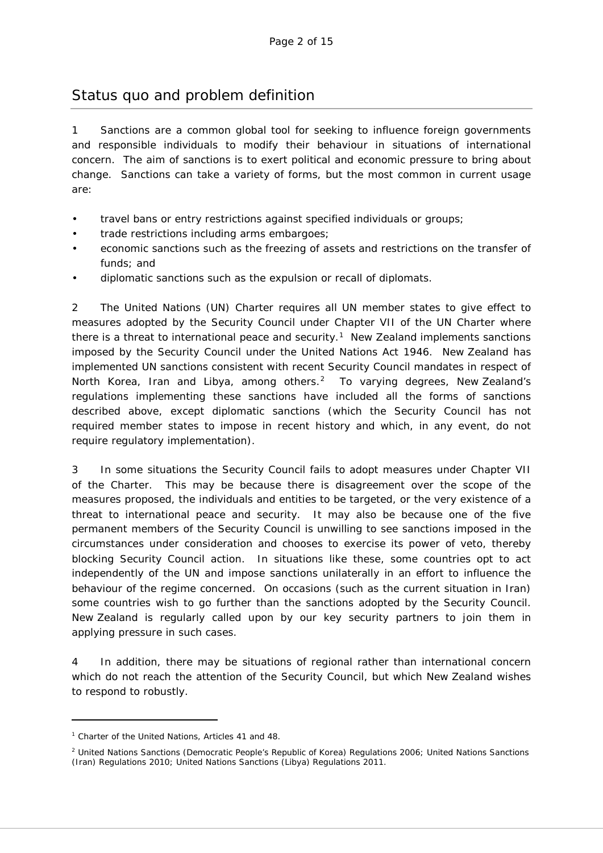# Status quo and problem definition

1 Sanctions are a common global tool for seeking to influence foreign governments and responsible individuals to modify their behaviour in situations of international concern. The aim of sanctions is to exert political and economic pressure to bring about change. Sanctions can take a variety of forms, but the most common in current usage are:

- travel bans or entry restrictions against specified individuals or groups;
- trade restrictions including arms embargoes;
- economic sanctions such as the freezing of assets and restrictions on the transfer of funds; and
- diplomatic sanctions such as the expulsion or recall of diplomats.

2 The United Nations (UN) Charter requires all UN member states to give effect to measures adopted by the Security Council under Chapter VII of the UN Charter where there is a threat to international peace and security.<sup>[1](#page-1-0)</sup> New Zealand implements sanctions imposed by the Security Council under the United Nations Act 1946. New Zealand has implemented UN sanctions consistent with recent Security Council mandates in respect of North Korea, Iran and Libya, among others.<sup>2</sup> To varying degrees, New Zealand's regulations implementing these sanctions have included all the forms of sanctions described above, except diplomatic sanctions (which the Security Council has not required member states to impose in recent history and which, in any event, do not require regulatory implementation).

3 In some situations the Security Council fails to adopt measures under Chapter VII of the Charter. This may be because there is disagreement over the scope of the measures proposed, the individuals and entities to be targeted, or the very existence of a threat to international peace and security. It may also be because one of the five permanent members of the Security Council is unwilling to see sanctions imposed in the circumstances under consideration and chooses to exercise its power of veto, thereby blocking Security Council action. In situations like these, some countries opt to act independently of the UN and impose sanctions unilaterally in an effort to influence the behaviour of the regime concerned. On occasions (such as the current situation in Iran) some countries wish to go further than the sanctions adopted by the Security Council. New Zealand is regularly called upon by our key security partners to join them in applying pressure in such cases.

4 In addition, there may be situations of regional rather than international concern which do not reach the attention of the Security Council, but which New Zealand wishes to respond to robustly.

-

<span id="page-1-0"></span><sup>1</sup> Charter of the United Nations, Articles 41 and 48.

<span id="page-1-1"></span><sup>2</sup> United Nations Sanctions (Democratic People's Republic of Korea) Regulations 2006; United Nations Sanctions (Iran) Regulations 2010; United Nations Sanctions (Libya) Regulations 2011.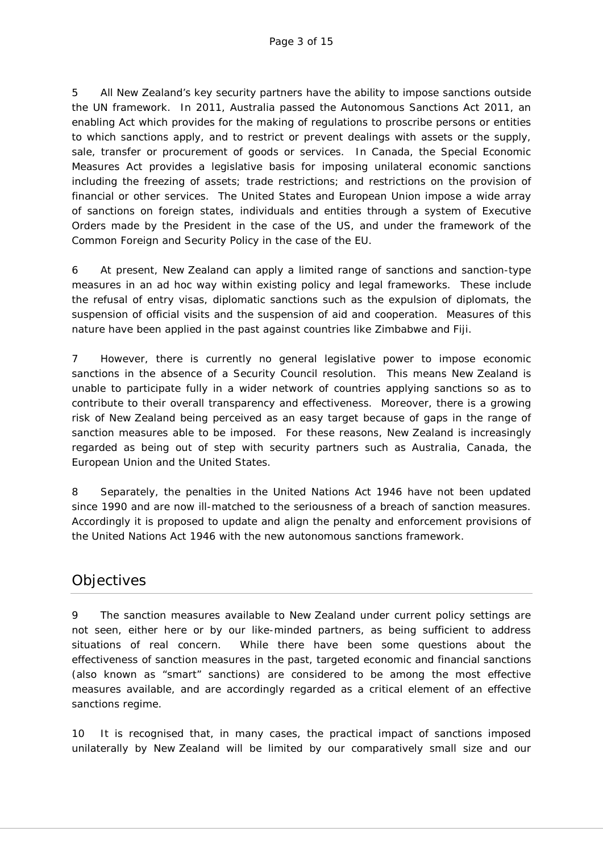5 All New Zealand's key security partners have the ability to impose sanctions outside the UN framework. In 2011, Australia passed the Autonomous Sanctions Act 2011, an enabling Act which provides for the making of regulations to proscribe persons or entities to which sanctions apply, and to restrict or prevent dealings with assets or the supply, sale, transfer or procurement of goods or services. In Canada, the Special Economic Measures Act provides a legislative basis for imposing unilateral economic sanctions including the freezing of assets; trade restrictions; and restrictions on the provision of financial or other services. The United States and European Union impose a wide array of sanctions on foreign states, individuals and entities through a system of Executive Orders made by the President in the case of the US, and under the framework of the Common Foreign and Security Policy in the case of the EU.

6 At present, New Zealand can apply a limited range of sanctions and sanction-type measures in an ad hoc way within existing policy and legal frameworks. These include the refusal of entry visas, diplomatic sanctions such as the expulsion of diplomats, the suspension of official visits and the suspension of aid and cooperation. Measures of this nature have been applied in the past against countries like Zimbabwe and Fiji.

7 However, there is currently no general legislative power to impose economic sanctions in the absence of a Security Council resolution. This means New Zealand is unable to participate fully in a wider network of countries applying sanctions so as to contribute to their overall transparency and effectiveness. Moreover, there is a growing risk of New Zealand being perceived as an easy target because of gaps in the range of sanction measures able to be imposed. For these reasons, New Zealand is increasingly regarded as being out of step with security partners such as Australia, Canada, the European Union and the United States.

8 Separately, the penalties in the United Nations Act 1946 have not been updated since 1990 and are now ill-matched to the seriousness of a breach of sanction measures. Accordingly it is proposed to update and align the penalty and enforcement provisions of the United Nations Act 1946 with the new autonomous sanctions framework.

# **Objectives**

9 The sanction measures available to New Zealand under current policy settings are not seen, either here or by our like-minded partners, as being sufficient to address situations of real concern. While there have been some questions about the effectiveness of sanction measures in the past, targeted economic and financial sanctions (also known as "smart" sanctions) are considered to be among the most effective measures available, and are accordingly regarded as a critical element of an effective sanctions regime.

10 It is recognised that, in many cases, the practical impact of sanctions imposed unilaterally by New Zealand will be limited by our comparatively small size and our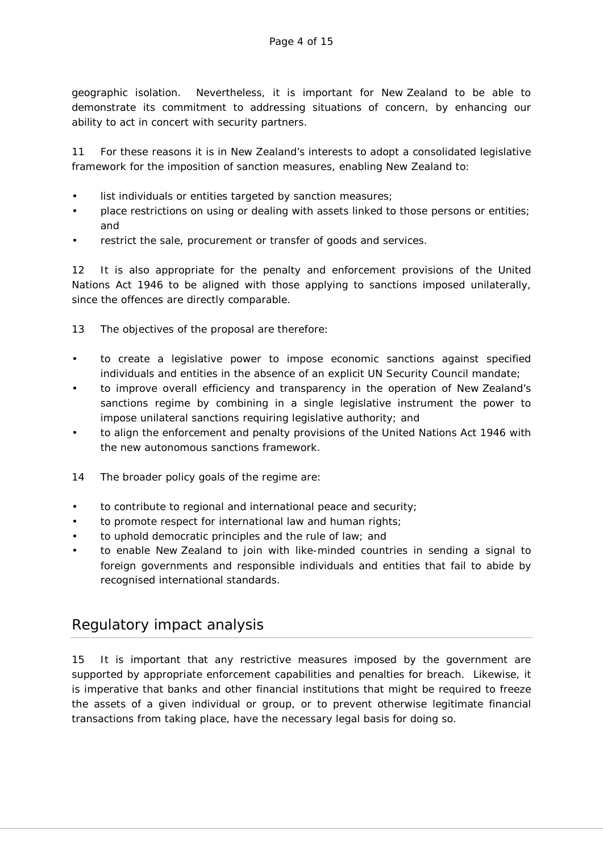geographic isolation. Nevertheless, it is important for New Zealand to be able to demonstrate its commitment to addressing situations of concern, by enhancing our ability to act in concert with security partners.

11 For these reasons it is in New Zealand's interests to adopt a consolidated legislative framework for the imposition of sanction measures, enabling New Zealand to:

- list individuals or entities targeted by sanction measures;
- place restrictions on using or dealing with assets linked to those persons or entities; and
- restrict the sale, procurement or transfer of goods and services.

12 It is also appropriate for the penalty and enforcement provisions of the United Nations Act 1946 to be aligned with those applying to sanctions imposed unilaterally, since the offences are directly comparable.

- 13 The objectives of the proposal are therefore:
- to create a legislative power to impose economic sanctions against specified individuals and entities in the absence of an explicit UN Security Council mandate;
- to improve overall efficiency and transparency in the operation of New Zealand's sanctions regime by combining in a single legislative instrument the power to impose unilateral sanctions requiring legislative authority; and
- to align the enforcement and penalty provisions of the United Nations Act 1946 with the new autonomous sanctions framework.
- 14 The broader policy goals of the regime are:
- to contribute to regional and international peace and security;
- to promote respect for international law and human rights;
- to uphold democratic principles and the rule of law; and
- to enable New Zealand to join with like-minded countries in sending a signal to foreign governments and responsible individuals and entities that fail to abide by recognised international standards.

# Regulatory impact analysis

15 It is important that any restrictive measures imposed by the government are supported by appropriate enforcement capabilities and penalties for breach. Likewise, it is imperative that banks and other financial institutions that might be required to freeze the assets of a given individual or group, or to prevent otherwise legitimate financial transactions from taking place, have the necessary legal basis for doing so.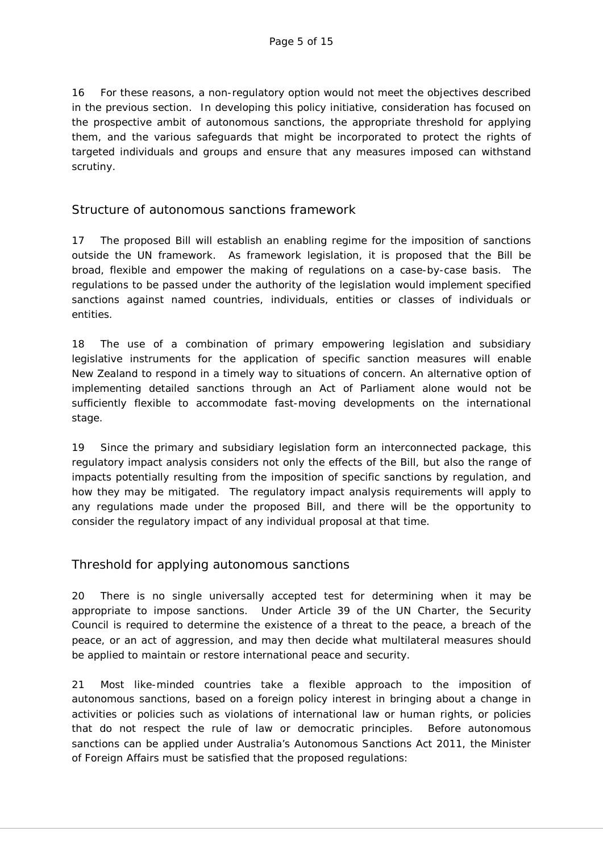16 For these reasons, a non-regulatory option would not meet the objectives described in the previous section. In developing this policy initiative, consideration has focused on the prospective ambit of autonomous sanctions, the appropriate threshold for applying them, and the various safeguards that might be incorporated to protect the rights of targeted individuals and groups and ensure that any measures imposed can withstand scrutiny.

### Structure of autonomous sanctions framework

17 The proposed Bill will establish an enabling regime for the imposition of sanctions outside the UN framework. As framework legislation, it is proposed that the Bill be broad, flexible and empower the making of regulations on a case-by-case basis. The regulations to be passed under the authority of the legislation would implement specified sanctions against named countries, individuals, entities or classes of individuals or entities.

18 The use of a combination of primary empowering legislation and subsidiary legislative instruments for the application of specific sanction measures will enable New Zealand to respond in a timely way to situations of concern. An alternative option of implementing detailed sanctions through an Act of Parliament alone would not be sufficiently flexible to accommodate fast-moving developments on the international stage.

19 Since the primary and subsidiary legislation form an interconnected package, this regulatory impact analysis considers not only the effects of the Bill, but also the range of impacts potentially resulting from the imposition of specific sanctions by regulation, and how they may be mitigated. The regulatory impact analysis requirements will apply to any regulations made under the proposed Bill, and there will be the opportunity to consider the regulatory impact of any individual proposal at that time.

### Threshold for applying autonomous sanctions

20 There is no single universally accepted test for determining when it may be appropriate to impose sanctions. Under Article 39 of the UN Charter, the Security Council is required to determine the existence of a threat to the peace, a breach of the peace, or an act of aggression, and may then decide what multilateral measures should be applied to maintain or restore international peace and security.

21 Most like-minded countries take a flexible approach to the imposition of autonomous sanctions, based on a foreign policy interest in bringing about a change in activities or policies such as violations of international law or human rights, or policies that do not respect the rule of law or democratic principles. Before autonomous sanctions can be applied under Australia's Autonomous Sanctions Act 2011, the Minister of Foreign Affairs must be satisfied that the proposed regulations: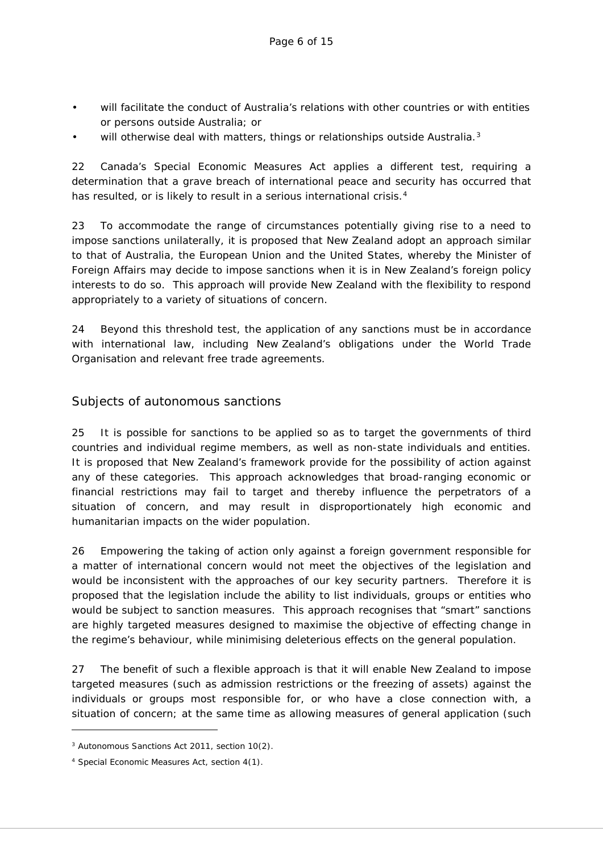- will facilitate the conduct of Australia's relations with other countries or with entities or persons outside Australia; or
- will otherwise deal with matters, things or relationships outside Australia.<sup>[3](#page-5-0)</sup>

22 Canada's Special Economic Measures Act applies a different test, requiring a determination that a grave breach of international peace and security has occurred that has resulted, or is likely to result in a serious international crisis.<sup>[4](#page-5-1)</sup>

23 To accommodate the range of circumstances potentially giving rise to a need to impose sanctions unilaterally, it is proposed that New Zealand adopt an approach similar to that of Australia, the European Union and the United States, whereby the Minister of Foreign Affairs may decide to impose sanctions when it is in New Zealand's foreign policy interests to do so. This approach will provide New Zealand with the flexibility to respond appropriately to a variety of situations of concern.

24 Beyond this threshold test, the application of any sanctions must be in accordance with international law, including New Zealand's obligations under the World Trade Organisation and relevant free trade agreements.

### Subjects of autonomous sanctions

25 It is possible for sanctions to be applied so as to target the governments of third countries and individual regime members, as well as non-state individuals and entities. It is proposed that New Zealand's framework provide for the possibility of action against any of these categories. This approach acknowledges that broad-ranging economic or financial restrictions may fail to target and thereby influence the perpetrators of a situation of concern, and may result in disproportionately high economic and humanitarian impacts on the wider population.

26 Empowering the taking of action only against a foreign government responsible for a matter of international concern would not meet the objectives of the legislation and would be inconsistent with the approaches of our key security partners. Therefore it is proposed that the legislation include the ability to list individuals, groups or entities who would be subject to sanction measures. This approach recognises that "smart" sanctions are highly targeted measures designed to maximise the objective of effecting change in the regime's behaviour, while minimising deleterious effects on the general population.

27 The benefit of such a flexible approach is that it will enable New Zealand to impose targeted measures (such as admission restrictions or the freezing of assets) against the individuals or groups most responsible for, or who have a close connection with, a situation of concern; at the same time as allowing measures of general application (such

-

<span id="page-5-0"></span><sup>3</sup> Autonomous Sanctions Act 2011, section 10(2).

<span id="page-5-1"></span><sup>4</sup> Special Economic Measures Act, section 4(1).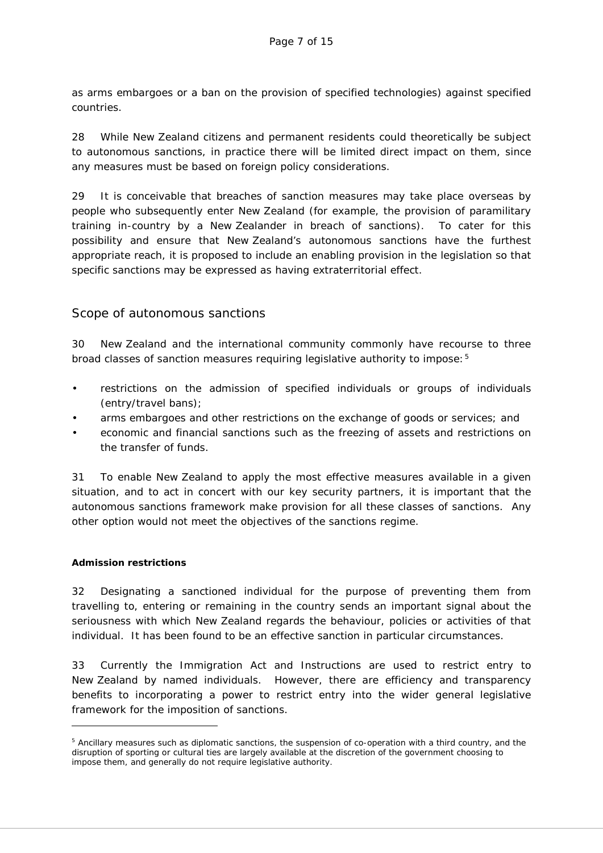as arms embargoes or a ban on the provision of specified technologies) against specified countries.

28 While New Zealand citizens and permanent residents could theoretically be subject to autonomous sanctions, in practice there will be limited direct impact on them, since any measures must be based on foreign policy considerations.

29 It is conceivable that breaches of sanction measures may take place overseas by people who subsequently enter New Zealand (for example, the provision of paramilitary training in-country by a New Zealander in breach of sanctions). To cater for this possibility and ensure that New Zealand's autonomous sanctions have the furthest appropriate reach, it is proposed to include an enabling provision in the legislation so that specific sanctions may be expressed as having extraterritorial effect.

### Scope of autonomous sanctions

30 New Zealand and the international community commonly have recourse to three broad classes of sanction measures requiring legislative authority to impose:[5](#page-6-0)

- restrictions on the admission of specified individuals or groups of individuals (entry/travel bans);
- arms embargoes and other restrictions on the exchange of goods or services; and
- economic and financial sanctions such as the freezing of assets and restrictions on the transfer of funds.

31 To enable New Zealand to apply the most effective measures available in a given situation, and to act in concert with our key security partners, it is important that the autonomous sanctions framework make provision for all these classes of sanctions. Any other option would not meet the objectives of the sanctions regime.

#### **Admission restrictions**

-

32 Designating a sanctioned individual for the purpose of preventing them from travelling to, entering or remaining in the country sends an important signal about the seriousness with which New Zealand regards the behaviour, policies or activities of that individual. It has been found to be an effective sanction in particular circumstances.

33 Currently the Immigration Act and Instructions are used to restrict entry to New Zealand by named individuals. However, there are efficiency and transparency benefits to incorporating a power to restrict entry into the wider general legislative framework for the imposition of sanctions.

<span id="page-6-0"></span><sup>5</sup> Ancillary measures such as diplomatic sanctions, the suspension of co-operation with a third country, and the disruption of sporting or cultural ties are largely available at the discretion of the government choosing to impose them, and generally do not require legislative authority.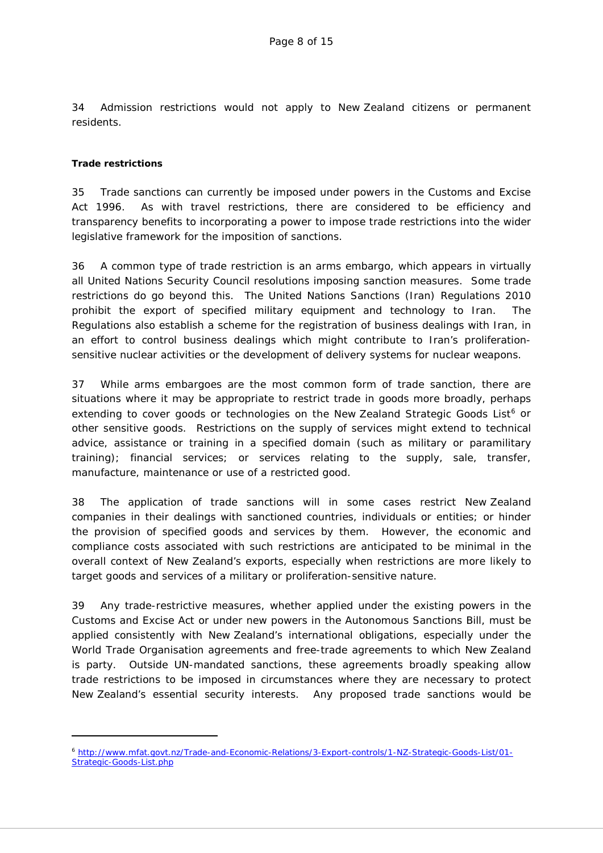34 Admission restrictions would not apply to New Zealand citizens or permanent residents.

#### **Trade restrictions**

-

35 Trade sanctions can currently be imposed under powers in the Customs and Excise Act 1996. As with travel restrictions, there are considered to be efficiency and transparency benefits to incorporating a power to impose trade restrictions into the wider legislative framework for the imposition of sanctions.

36 A common type of trade restriction is an arms embargo, which appears in virtually all United Nations Security Council resolutions imposing sanction measures. Some trade restrictions do go beyond this. The United Nations Sanctions (Iran) Regulations 2010 prohibit the export of specified military equipment and technology to Iran. The Regulations also establish a scheme for the registration of business dealings with Iran, in an effort to control business dealings which might contribute to Iran's proliferationsensitive nuclear activities or the development of delivery systems for nuclear weapons.

37 While arms embargoes are the most common form of trade sanction, there are situations where it may be appropriate to restrict trade in goods more broadly, perhaps extending to cover goods or technologies on the New Zealand Strategic Goods List<sup>[6](#page-7-0)</sup> or other sensitive goods. Restrictions on the supply of services might extend to technical advice, assistance or training in a specified domain (such as military or paramilitary training); financial services; or services relating to the supply, sale, transfer, manufacture, maintenance or use of a restricted good.

38 The application of trade sanctions will in some cases restrict New Zealand companies in their dealings with sanctioned countries, individuals or entities; or hinder the provision of specified goods and services by them. However, the economic and compliance costs associated with such restrictions are anticipated to be minimal in the overall context of New Zealand's exports, especially when restrictions are more likely to target goods and services of a military or proliferation-sensitive nature.

39 Any trade-restrictive measures, whether applied under the existing powers in the Customs and Excise Act or under new powers in the Autonomous Sanctions Bill, must be applied consistently with New Zealand's international obligations, especially under the World Trade Organisation agreements and free-trade agreements to which New Zealand is party. Outside UN-mandated sanctions, these agreements broadly speaking allow trade restrictions to be imposed in circumstances where they are necessary to protect New Zealand's essential security interests. Any proposed trade sanctions would be

<span id="page-7-0"></span><sup>6</sup> [http://www.mfat.govt.nz/Trade-and-Economic-Relations/3-Export-controls/1-NZ-Strategic-Goods-List/01-](http://www.mfat.govt.nz/Trade-and-Economic-Relations/3-Export-controls/1-NZ-Strategic-Goods-List/01-Strategic-Goods-List.php) [Strategic-Goods-List.php](http://www.mfat.govt.nz/Trade-and-Economic-Relations/3-Export-controls/1-NZ-Strategic-Goods-List/01-Strategic-Goods-List.php)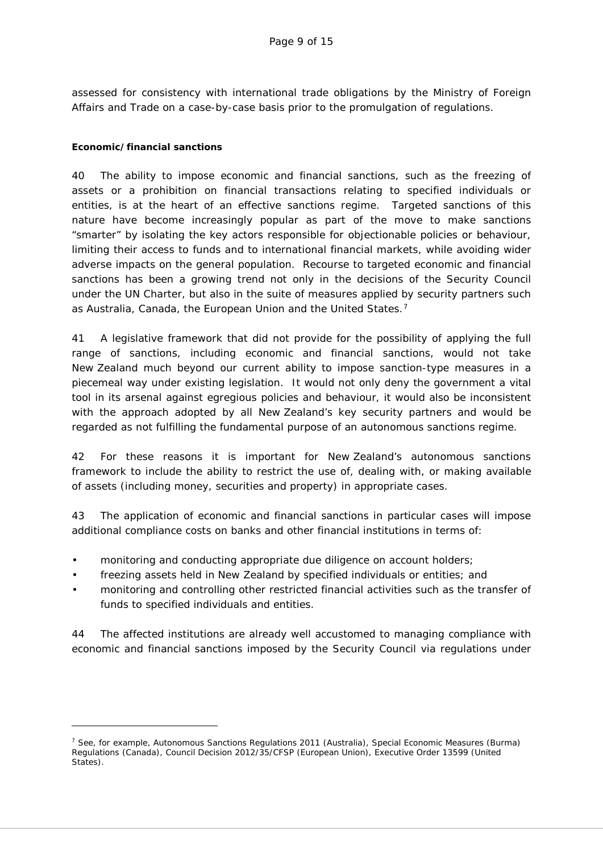assessed for consistency with international trade obligations by the Ministry of Foreign Affairs and Trade on a case-by-case basis prior to the promulgation of regulations.

#### **Economic/financial sanctions**

-

40 The ability to impose economic and financial sanctions, such as the freezing of assets or a prohibition on financial transactions relating to specified individuals or entities, is at the heart of an effective sanctions regime. Targeted sanctions of this nature have become increasingly popular as part of the move to make sanctions "smarter" by isolating the key actors responsible for objectionable policies or behaviour, limiting their access to funds and to international financial markets, while avoiding wider adverse impacts on the general population. Recourse to targeted economic and financial sanctions has been a growing trend not only in the decisions of the Security Council under the UN Charter, but also in the suite of measures applied by security partners such as Australia, Canada, the European Union and the United States.<sup>[7](#page-8-0)</sup>

41 A legislative framework that did not provide for the possibility of applying the full range of sanctions, including economic and financial sanctions, would not take New Zealand much beyond our current ability to impose sanction-type measures in a piecemeal way under existing legislation. It would not only deny the government a vital tool in its arsenal against egregious policies and behaviour, it would also be inconsistent with the approach adopted by all New Zealand's key security partners and would be regarded as not fulfilling the fundamental purpose of an autonomous sanctions regime.

42 For these reasons it is important for New Zealand's autonomous sanctions framework to include the ability to restrict the use of, dealing with, or making available of assets (including money, securities and property) in appropriate cases.

43 The application of economic and financial sanctions in particular cases will impose additional compliance costs on banks and other financial institutions in terms of:

- monitoring and conducting appropriate due diligence on account holders;
- freezing assets held in New Zealand by specified individuals or entities; and
- monitoring and controlling other restricted financial activities such as the transfer of funds to specified individuals and entities.

44 The affected institutions are already well accustomed to managing compliance with economic and financial sanctions imposed by the Security Council via regulations under

<span id="page-8-0"></span><sup>&</sup>lt;sup>7</sup> See, for example, Autonomous Sanctions Regulations 2011 (Australia), Special Economic Measures (Burma) Regulations (Canada), Council Decision 2012/35/CFSP (European Union), Executive Order 13599 (United States).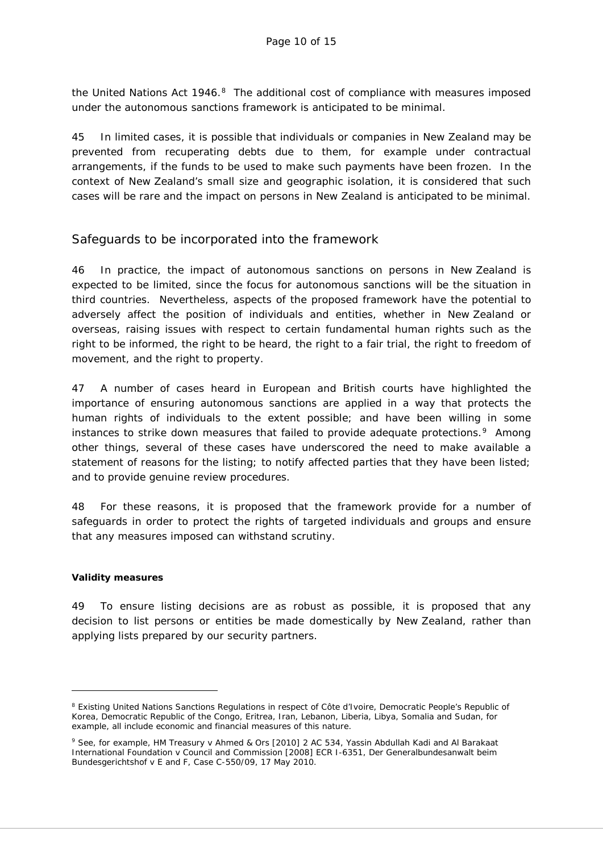the United Nations Act  $1946<sup>8</sup>$  The additional cost of compliance with measures imposed under the autonomous sanctions framework is anticipated to be minimal.

45 In limited cases, it is possible that individuals or companies in New Zealand may be prevented from recuperating debts due to them, for example under contractual arrangements, if the funds to be used to make such payments have been frozen. In the context of New Zealand's small size and geographic isolation, it is considered that such cases will be rare and the impact on persons in New Zealand is anticipated to be minimal.

### Safeguards to be incorporated into the framework

46 In practice, the impact of autonomous sanctions on persons in New Zealand is expected to be limited, since the focus for autonomous sanctions will be the situation in third countries. Nevertheless, aspects of the proposed framework have the potential to adversely affect the position of individuals and entities, whether in New Zealand or overseas, raising issues with respect to certain fundamental human rights such as the right to be informed, the right to be heard, the right to a fair trial, the right to freedom of movement, and the right to property.

47 A number of cases heard in European and British courts have highlighted the importance of ensuring autonomous sanctions are applied in a way that protects the human rights of individuals to the extent possible; and have been willing in some instances to strike down measures that failed to provide adequate protections.<sup>9</sup> Among other things, several of these cases have underscored the need to make available a statement of reasons for the listing; to notify affected parties that they have been listed; and to provide genuine review procedures.

48 For these reasons, it is proposed that the framework provide for a number of safeguards in order to protect the rights of targeted individuals and groups and ensure that any measures imposed can withstand scrutiny.

#### **Validity measures**

-

49 To ensure listing decisions are as robust as possible, it is proposed that any decision to list persons or entities be made domestically by New Zealand, rather than applying lists prepared by our security partners.

<span id="page-9-0"></span><sup>&</sup>lt;sup>8</sup> Existing United Nations Sanctions Regulations in respect of Côte d'Ivoire, Democratic People's Republic of Korea, Democratic Republic of the Congo, Eritrea, Iran, Lebanon, Liberia, Libya, Somalia and Sudan, for example, all include economic and financial measures of this nature.

<span id="page-9-1"></span><sup>9</sup> See, for example, *HM Treasury v Ahmed & Ors* [2010] 2 AC 534, *Yassin Abdullah Kadi and Al Barakaat International Foundation v Council and Commission* [2008] ECR I-6351, *Der Generalbundesanwalt beim Bundesgerichtshof v E and F*, Case C-550/09, 17 May 2010.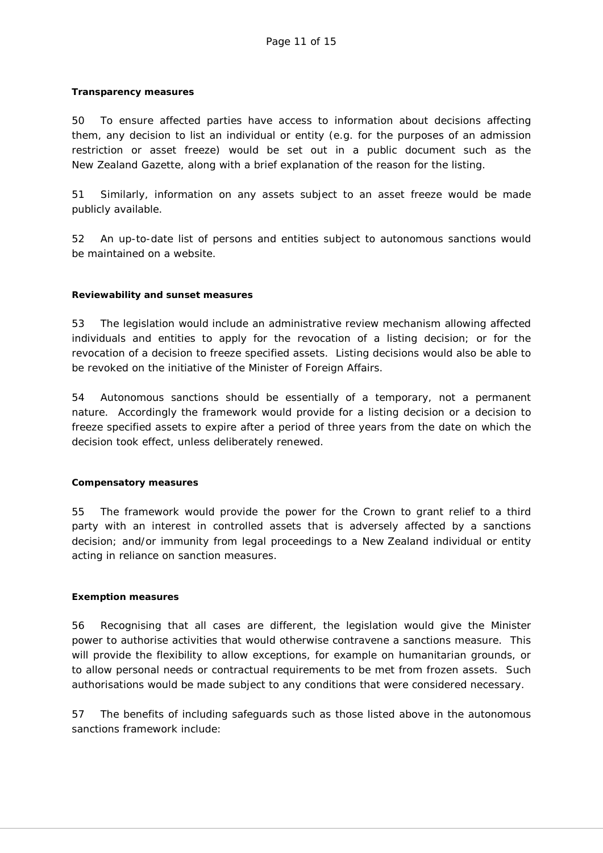#### **Transparency measures**

50 To ensure affected parties have access to information about decisions affecting them, any decision to list an individual or entity (e.g. for the purposes of an admission restriction or asset freeze) would be set out in a public document such as the *New Zealand Gazette*, along with a brief explanation of the reason for the listing.

51 Similarly, information on any assets subject to an asset freeze would be made publicly available.

52 An up-to-date list of persons and entities subject to autonomous sanctions would be maintained on a website.

#### **Reviewability and sunset measures**

53 The legislation would include an administrative review mechanism allowing affected individuals and entities to apply for the revocation of a listing decision; or for the revocation of a decision to freeze specified assets. Listing decisions would also be able to be revoked on the initiative of the Minister of Foreign Affairs.

54 Autonomous sanctions should be essentially of a temporary, not a permanent nature. Accordingly the framework would provide for a listing decision or a decision to freeze specified assets to expire after a period of three years from the date on which the decision took effect, unless deliberately renewed.

#### **Compensatory measures**

55 The framework would provide the power for the Crown to grant relief to a third party with an interest in controlled assets that is adversely affected by a sanctions decision; and/or immunity from legal proceedings to a New Zealand individual or entity acting in reliance on sanction measures.

#### **Exemption measures**

56 Recognising that all cases are different, the legislation would give the Minister power to authorise activities that would otherwise contravene a sanctions measure. This will provide the flexibility to allow exceptions, for example on humanitarian grounds, or to allow personal needs or contractual requirements to be met from frozen assets. Such authorisations would be made subject to any conditions that were considered necessary.

57 The benefits of including safeguards such as those listed above in the autonomous sanctions framework include: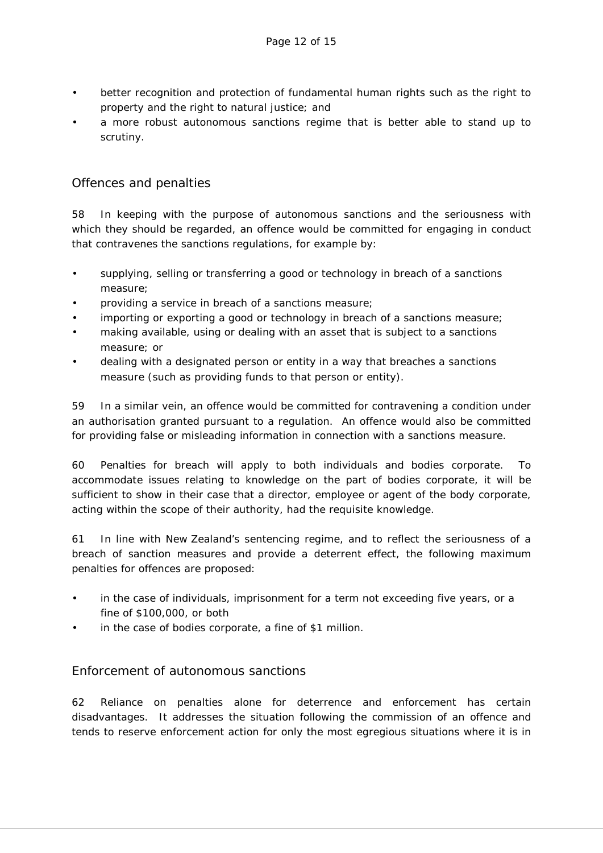- better recognition and protection of fundamental human rights such as the right to property and the right to natural justice; and
- a more robust autonomous sanctions regime that is better able to stand up to scrutiny.

### Offences and penalties

58 In keeping with the purpose of autonomous sanctions and the seriousness with which they should be regarded, an offence would be committed for engaging in conduct that contravenes the sanctions regulations, for example by:

- supplying, selling or transferring a good or technology in breach of a sanctions measure;
- providing a service in breach of a sanctions measure;
- importing or exporting a good or technology in breach of a sanctions measure;
- making available, using or dealing with an asset that is subject to a sanctions measure; or
- dealing with a designated person or entity in a way that breaches a sanctions measure (such as providing funds to that person or entity).

59 In a similar vein, an offence would be committed for contravening a condition under an authorisation granted pursuant to a regulation. An offence would also be committed for providing false or misleading information in connection with a sanctions measure.

60 Penalties for breach will apply to both individuals and bodies corporate. To accommodate issues relating to knowledge on the part of bodies corporate, it will be sufficient to show in their case that a director, employee or agent of the body corporate, acting within the scope of their authority, had the requisite knowledge.

61 In line with New Zealand's sentencing regime, and to reflect the seriousness of a breach of sanction measures and provide a deterrent effect, the following maximum penalties for offences are proposed:

- in the case of individuals, imprisonment for a term not exceeding five years, or a fine of \$100,000, or both
- in the case of bodies corporate, a fine of \$1 million.

### Enforcement of autonomous sanctions

62 Reliance on penalties alone for deterrence and enforcement has certain disadvantages. It addresses the situation following the commission of an offence and tends to reserve enforcement action for only the most egregious situations where it is in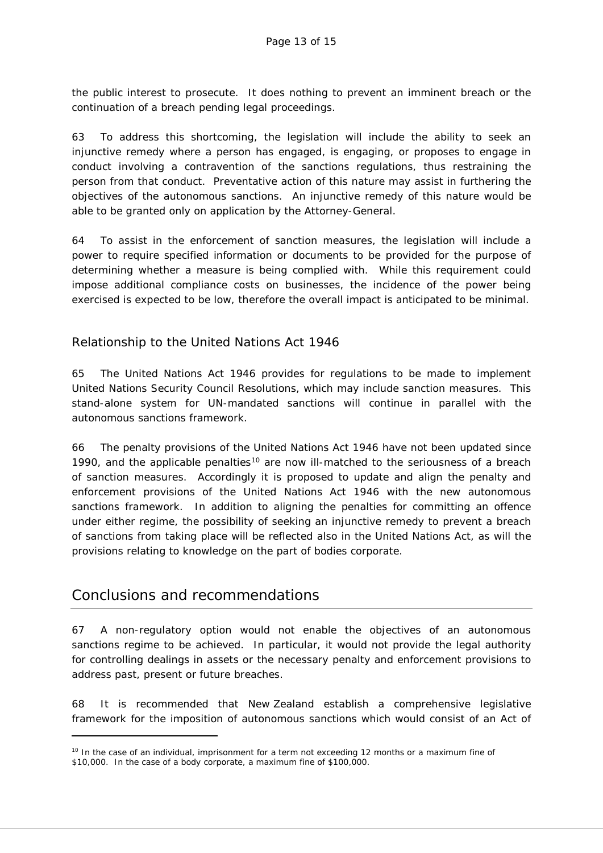the public interest to prosecute. It does nothing to prevent an imminent breach or the continuation of a breach pending legal proceedings.

63 To address this shortcoming, the legislation will include the ability to seek an injunctive remedy where a person has engaged, is engaging, or proposes to engage in conduct involving a contravention of the sanctions regulations, thus restraining the person from that conduct. Preventative action of this nature may assist in furthering the objectives of the autonomous sanctions. An injunctive remedy of this nature would be able to be granted only on application by the Attorney-General.

64 To assist in the enforcement of sanction measures, the legislation will include a power to require specified information or documents to be provided for the purpose of determining whether a measure is being complied with. While this requirement could impose additional compliance costs on businesses, the incidence of the power being exercised is expected to be low, therefore the overall impact is anticipated to be minimal.

### Relationship to the United Nations Act 1946

65 The United Nations Act 1946 provides for regulations to be made to implement United Nations Security Council Resolutions, which may include sanction measures. This stand-alone system for UN-mandated sanctions will continue in parallel with the autonomous sanctions framework.

66 The penalty provisions of the United Nations Act 1946 have not been updated since 1990, and the applicable penalties<sup>[10](#page-12-0)</sup> are now ill-matched to the seriousness of a breach of sanction measures. Accordingly it is proposed to update and align the penalty and enforcement provisions of the United Nations Act 1946 with the new autonomous sanctions framework. In addition to aligning the penalties for committing an offence under either regime, the possibility of seeking an injunctive remedy to prevent a breach of sanctions from taking place will be reflected also in the United Nations Act, as will the provisions relating to knowledge on the part of bodies corporate.

# Conclusions and recommendations

-

67 A non-regulatory option would not enable the objectives of an autonomous sanctions regime to be achieved. In particular, it would not provide the legal authority for controlling dealings in assets or the necessary penalty and enforcement provisions to address past, present or future breaches.

68 It is recommended that New Zealand establish a comprehensive legislative framework for the imposition of autonomous sanctions which would consist of an Act of

<span id="page-12-0"></span><sup>&</sup>lt;sup>10</sup> In the case of an individual, imprisonment for a term not exceeding 12 months or a maximum fine of \$10,000. In the case of a body corporate, a maximum fine of \$100,000.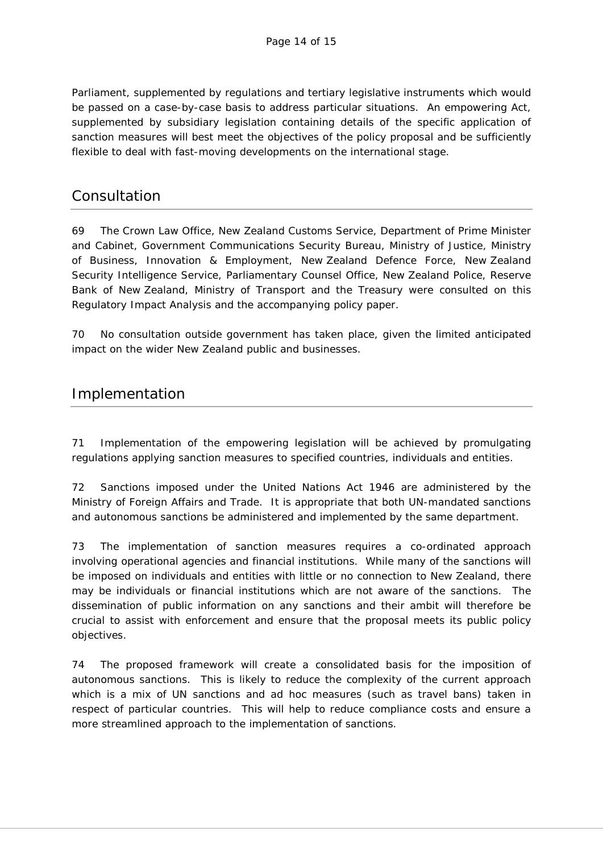Parliament, supplemented by regulations and tertiary legislative instruments which would be passed on a case-by-case basis to address particular situations. An empowering Act, supplemented by subsidiary legislation containing details of the specific application of sanction measures will best meet the objectives of the policy proposal and be sufficiently flexible to deal with fast-moving developments on the international stage.

# **Consultation**

69 The Crown Law Office, New Zealand Customs Service, Department of Prime Minister and Cabinet, Government Communications Security Bureau, Ministry of Justice, Ministry of Business, Innovation & Employment, New Zealand Defence Force, New Zealand Security Intelligence Service, Parliamentary Counsel Office, New Zealand Police, Reserve Bank of New Zealand, Ministry of Transport and the Treasury were consulted on this Regulatory Impact Analysis and the accompanying policy paper.

70 No consultation outside government has taken place, given the limited anticipated impact on the wider New Zealand public and businesses.

# Implementation

71 Implementation of the empowering legislation will be achieved by promulgating regulations applying sanction measures to specified countries, individuals and entities.

72 Sanctions imposed under the United Nations Act 1946 are administered by the Ministry of Foreign Affairs and Trade. It is appropriate that both UN-mandated sanctions and autonomous sanctions be administered and implemented by the same department.

73 The implementation of sanction measures requires a co-ordinated approach involving operational agencies and financial institutions. While many of the sanctions will be imposed on individuals and entities with little or no connection to New Zealand, there may be individuals or financial institutions which are not aware of the sanctions. The dissemination of public information on any sanctions and their ambit will therefore be crucial to assist with enforcement and ensure that the proposal meets its public policy objectives.

74 The proposed framework will create a consolidated basis for the imposition of autonomous sanctions. This is likely to reduce the complexity of the current approach which is a mix of UN sanctions and ad hoc measures (such as travel bans) taken in respect of particular countries. This will help to reduce compliance costs and ensure a more streamlined approach to the implementation of sanctions.